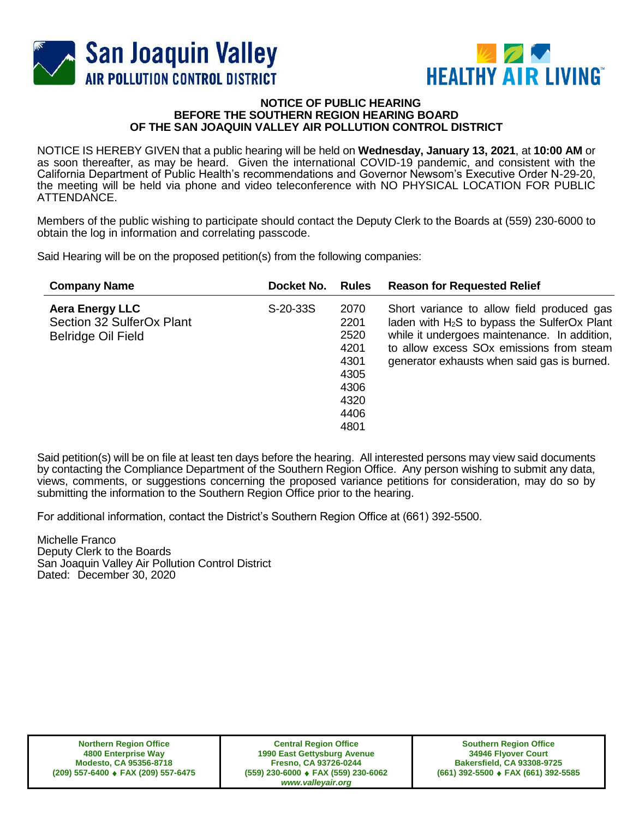



## **NOTICE OF PUBLIC HEARING BEFORE THE SOUTHERN REGION HEARING BOARD OF THE SAN JOAQUIN VALLEY AIR POLLUTION CONTROL DISTRICT**

NOTICE IS HEREBY GIVEN that a public hearing will be held on **Wednesday, January 13, 2021**, at **10:00 AM** or as soon thereafter, as may be heard. Given the international COVID-19 pandemic, and consistent with the California Department of Public Health's recommendations and Governor Newsom's Executive Order N-29-20, the meeting will be held via phone and video teleconference with NO PHYSICAL LOCATION FOR PUBLIC ATTENDANCE.

Members of the public wishing to participate should contact the Deputy Clerk to the Boards at (559) 230-6000 to obtain the log in information and correlating passcode.

Said Hearing will be on the proposed petition(s) from the following companies:

| <b>Company Name</b>                                                              | Docket No. | <b>Rules</b>                                                                 | <b>Reason for Requested Relief</b>                                                                                                                                                                                                                  |
|----------------------------------------------------------------------------------|------------|------------------------------------------------------------------------------|-----------------------------------------------------------------------------------------------------------------------------------------------------------------------------------------------------------------------------------------------------|
| <b>Aera Energy LLC</b><br>Section 32 SulferOx Plant<br><b>Belridge Oil Field</b> | S-20-33S   | 2070<br>2201<br>2520<br>4201<br>4301<br>4305<br>4306<br>4320<br>4406<br>4801 | Short variance to allow field produced gas<br>laden with $H_2S$ to bypass the SulferOx Plant<br>while it undergoes maintenance. In addition,<br>to allow excess SO <sub>x</sub> emissions from steam<br>generator exhausts when said gas is burned. |

Said petition(s) will be on file at least ten days before the hearing. All interested persons may view said documents by contacting the Compliance Department of the Southern Region Office. Any person wishing to submit any data, views, comments, or suggestions concerning the proposed variance petitions for consideration, may do so by submitting the information to the Southern Region Office prior to the hearing.

For additional information, contact the District's Southern Region Office at (661) 392-5500.

Michelle Franco Deputy Clerk to the Boards San Joaquin Valley Air Pollution Control District Dated: December 30, 2020

**Northern Region Office 4800 Enterprise Way Modesto, CA 95356-8718 (209) 557-6400 FAX (209) 557-6475**

**Central Region Office 1990 East Gettysburg Avenue Fresno, CA 93726-0244 (559) 230-6000 FAX (559) 230-6062** *www.valleyair.org*

**Southern Region Office 34946 Flyover Court Bakersfield, CA 93308-9725 (661) 392-5500 FAX (661) 392-5585**